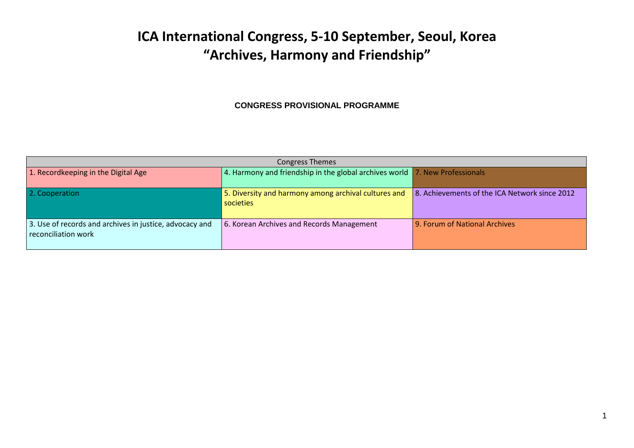## **ICA International Congress, 5-10 September, Seoul, Korea "Archives, Harmony and Friendship"**

## **CONGRESS PROVISIONAL PROGRAMME**

| <b>Congress Themes</b>                                                         |                                                                                     |                                               |  |  |  |  |  |  |  |
|--------------------------------------------------------------------------------|-------------------------------------------------------------------------------------|-----------------------------------------------|--|--|--|--|--|--|--|
| 1. Recordkeeping in the Digital Age                                            | 4. Harmony and friendship in the global archives world $\vert$ 7. New Professionals |                                               |  |  |  |  |  |  |  |
| 2. Cooperation                                                                 | 5. Diversity and harmony among archival cultures and<br>societies                   | 8. Achievements of the ICA Network since 2012 |  |  |  |  |  |  |  |
| 3. Use of records and archives in justice, advocacy and<br>reconciliation work | 6. Korean Archives and Records Management                                           | 9. Forum of National Archives                 |  |  |  |  |  |  |  |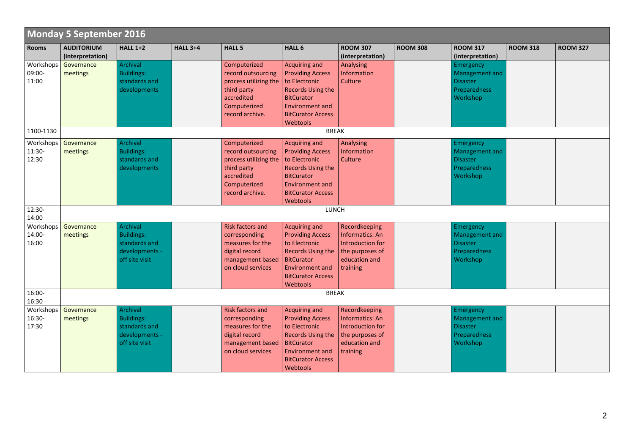|                 | Monday 5 September 2016 |                   |                 |                                   |                          |                         |                 |                  |                 |                 |
|-----------------|-------------------------|-------------------|-----------------|-----------------------------------|--------------------------|-------------------------|-----------------|------------------|-----------------|-----------------|
| <b>Rooms</b>    | <b>AUDITORIUM</b>       | <b>HALL 1+2</b>   | <b>HALL 3+4</b> | <b>HALL 5</b>                     | HALL <sub>6</sub>        | <b>ROOM 307</b>         | <b>ROOM 308</b> | <b>ROOM 317</b>  | <b>ROOM 318</b> | <b>ROOM 327</b> |
|                 | (interpretation)        |                   |                 |                                   |                          | (interpretation)        |                 | (interpretation) |                 |                 |
| Workshops       | Governance              | <b>Archival</b>   |                 | Computerized                      | Acquiring and            | Analysing               |                 | Emergency        |                 |                 |
| 09:00-          | meetings                | <b>Buildings:</b> |                 | record outsourcing                | <b>Providing Access</b>  | <b>Information</b>      |                 | Management and   |                 |                 |
| 11:00           |                         | standards and     |                 | process utilizing the             | to Electronic            | Culture                 |                 | <b>Disaster</b>  |                 |                 |
|                 |                         | developments      |                 | third party                       | <b>Records Using the</b> |                         |                 | Preparedness     |                 |                 |
|                 |                         |                   |                 | accredited                        | <b>BitCurator</b>        |                         |                 | Workshop         |                 |                 |
|                 |                         |                   |                 | Computerized                      | <b>Environment and</b>   |                         |                 |                  |                 |                 |
|                 |                         |                   |                 | record archive.                   | <b>BitCurator Access</b> |                         |                 |                  |                 |                 |
|                 |                         |                   |                 |                                   | Webtools                 |                         |                 |                  |                 |                 |
| 1100-1130       |                         |                   |                 |                                   | <b>BREAK</b>             |                         |                 |                  |                 |                 |
| Workshops       | Governance              | Archival          |                 | Computerized                      | Acquiring and            | Analysing               |                 | Emergency        |                 |                 |
| 11:30-          | meetings                | <b>Buildings:</b> |                 | record outsourcing                | <b>Providing Access</b>  | Information             |                 | Management and   |                 |                 |
| 12:30           |                         | standards and     |                 | process utilizing the             | to Electronic            | Culture                 |                 | <b>Disaster</b>  |                 |                 |
|                 |                         | developments      |                 | third party                       | <b>Records Using the</b> |                         |                 | Preparedness     |                 |                 |
|                 |                         |                   |                 | accredited                        | <b>BitCurator</b>        |                         |                 | Workshop         |                 |                 |
|                 |                         |                   |                 | Computerized                      | <b>Environment and</b>   |                         |                 |                  |                 |                 |
|                 |                         |                   |                 | record archive.                   | <b>BitCurator Access</b> |                         |                 |                  |                 |                 |
|                 |                         |                   |                 |                                   | Webtools                 |                         |                 |                  |                 |                 |
| 12:30-<br>14:00 |                         |                   |                 |                                   | LUNCH                    |                         |                 |                  |                 |                 |
| Workshops       | Governance              | <b>Archival</b>   |                 | <b>Risk factors and</b>           | Acquiring and            | Recordkeeping           |                 |                  |                 |                 |
| 14:00-          |                         | <b>Buildings:</b> |                 |                                   | <b>Providing Access</b>  | <b>Informatics: An</b>  |                 | Emergency        |                 |                 |
|                 | meetings                | standards and     |                 | corresponding<br>measures for the | to Electronic            |                         |                 | Management and   |                 |                 |
| 16:00           |                         | developments -    |                 |                                   |                          | <b>Introduction for</b> |                 | <b>Disaster</b>  |                 |                 |
|                 |                         |                   |                 | digital record                    | <b>Records Using the</b> | the purposes of         |                 | Preparedness     |                 |                 |
|                 |                         | off site visit    |                 | management based                  | <b>BitCurator</b>        | education and           |                 | Workshop         |                 |                 |
|                 |                         |                   |                 | on cloud services                 | <b>Environment and</b>   | training                |                 |                  |                 |                 |
|                 |                         |                   |                 |                                   | <b>BitCurator Access</b> |                         |                 |                  |                 |                 |
| 16:00-          |                         |                   |                 |                                   | Webtools<br><b>BREAK</b> |                         |                 |                  |                 |                 |
| 16:30           |                         |                   |                 |                                   |                          |                         |                 |                  |                 |                 |
| Workshops       | Governance              | <b>Archival</b>   |                 | <b>Risk factors and</b>           | Acquiring and            | Recordkeeping           |                 | Emergency        |                 |                 |
| 16:30-          | meetings                | <b>Buildings:</b> |                 | corresponding                     | <b>Providing Access</b>  | <b>Informatics: An</b>  |                 | Management and   |                 |                 |
| 17:30           |                         | standards and     |                 | measures for the                  | to Electronic            | Introduction for        |                 | <b>Disaster</b>  |                 |                 |
|                 |                         | developments -    |                 | digital record                    | Records Using the        | the purposes of         |                 | Preparedness     |                 |                 |
|                 |                         | off site visit    |                 | management based                  | <b>BitCurator</b>        | education and           |                 | Workshop         |                 |                 |
|                 |                         |                   |                 | on cloud services                 | <b>Environment and</b>   | training                |                 |                  |                 |                 |
|                 |                         |                   |                 |                                   | <b>BitCurator Access</b> |                         |                 |                  |                 |                 |
|                 |                         |                   |                 |                                   | Webtools                 |                         |                 |                  |                 |                 |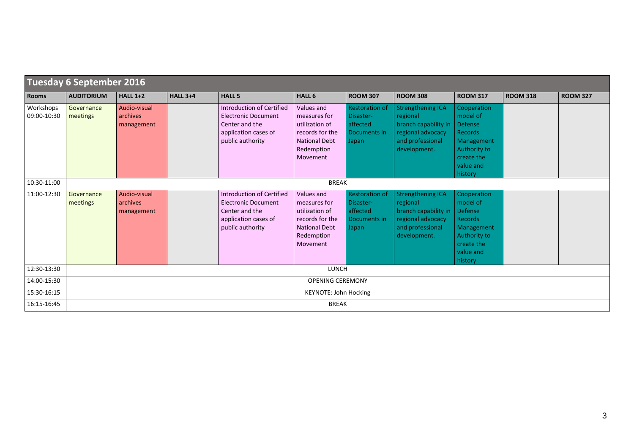|                          | Tuesday 6 September 2016     |                                        |                 |                                                                                                                              |                                                                                                                   |                                                                         |                                                                                                                       |                                                                                                                                 |                 |                 |  |  |
|--------------------------|------------------------------|----------------------------------------|-----------------|------------------------------------------------------------------------------------------------------------------------------|-------------------------------------------------------------------------------------------------------------------|-------------------------------------------------------------------------|-----------------------------------------------------------------------------------------------------------------------|---------------------------------------------------------------------------------------------------------------------------------|-----------------|-----------------|--|--|
| <b>Rooms</b>             | <b>AUDITORIUM</b>            | <b>HALL 1+2</b>                        | <b>HALL 3+4</b> | <b>HALL 5</b>                                                                                                                | <b>HALL 6</b>                                                                                                     | <b>ROOM 307</b>                                                         | <b>ROOM 308</b>                                                                                                       | <b>ROOM 317</b>                                                                                                                 | <b>ROOM 318</b> | <b>ROOM 327</b> |  |  |
| Workshops<br>09:00-10:30 | Governance<br>meetings       | Audio-visual<br>archives<br>management |                 | <b>Introduction of Certified</b><br><b>Electronic Document</b><br>Center and the<br>application cases of<br>public authority | Values and<br>measures for<br>utilization of<br>records for the<br><b>National Debt</b><br>Redemption<br>Movement | <b>Restoration of</b><br>Disaster-<br>affected<br>Documents in<br>Japan | <b>Strengthening ICA</b><br>regional<br>branch capability in<br>regional advocacy<br>and professional<br>development. | Cooperation<br>model of<br><b>Defense</b><br><b>Records</b><br>Management<br>Authority to<br>create the<br>value and<br>history |                 |                 |  |  |
| 10:30-11:00              |                              |                                        |                 |                                                                                                                              | <b>BREAK</b>                                                                                                      |                                                                         |                                                                                                                       |                                                                                                                                 |                 |                 |  |  |
| 11:00-12:30              | Governance<br>meetings       | Audio-visual<br>archives<br>management |                 | <b>Introduction of Certified</b><br><b>Electronic Document</b><br>Center and the<br>application cases of<br>public authority | Values and<br>measures for<br>utilization of<br>records for the<br><b>National Debt</b><br>Redemption<br>Movement | <b>Restoration of</b><br>Disaster-<br>affected<br>Documents in<br>Japan | <b>Strengthening ICA</b><br>regional<br>branch capability in<br>regional advocacy<br>and professional<br>development. | Cooperation<br>model of<br><b>Defense</b><br><b>Records</b><br>Management<br>Authority to<br>create the<br>value and<br>history |                 |                 |  |  |
| 12:30-13:30              |                              |                                        |                 |                                                                                                                              | LUNCH                                                                                                             |                                                                         |                                                                                                                       |                                                                                                                                 |                 |                 |  |  |
| 14:00-15:30              | <b>OPENING CEREMONY</b>      |                                        |                 |                                                                                                                              |                                                                                                                   |                                                                         |                                                                                                                       |                                                                                                                                 |                 |                 |  |  |
| 15:30-16:15              | <b>KEYNOTE: John Hocking</b> |                                        |                 |                                                                                                                              |                                                                                                                   |                                                                         |                                                                                                                       |                                                                                                                                 |                 |                 |  |  |
| 16:15-16:45              |                              |                                        |                 |                                                                                                                              | <b>BREAK</b>                                                                                                      |                                                                         |                                                                                                                       |                                                                                                                                 |                 |                 |  |  |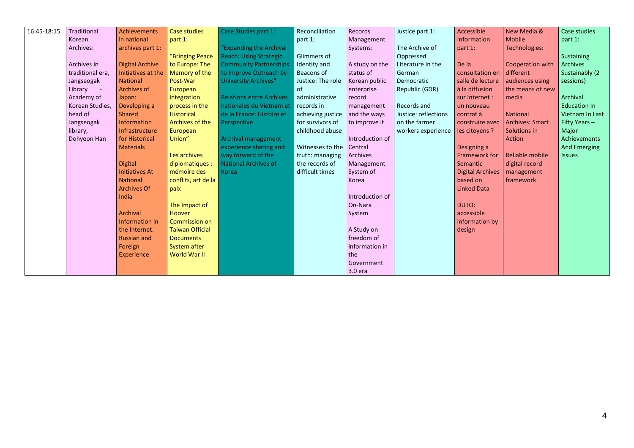| 16:45-18:15 | Traditional           | <b>Achievements</b>    | <b>Case studies</b>    | Case Studies part 1:            | Reconciliation    | Records         | Justice part 1:      | Accessible              | New Media &            | Case studies    |
|-------------|-----------------------|------------------------|------------------------|---------------------------------|-------------------|-----------------|----------------------|-------------------------|------------------------|-----------------|
|             | Korean                | in national            | part 1:                |                                 | part 1:           | Management      |                      | Information             | <b>Mobile</b>          | part 1:         |
|             | Archives:             | archives part 1:       |                        | "Expanding the Archival         |                   | Systems:        | The Archive of       | part 1:                 | Technologies:          |                 |
|             |                       |                        | "Bringing Peace        | <b>Reach: Using Strategic</b>   | Glimmers of       |                 | Oppressed            |                         |                        | Sustaining      |
|             | Archives in           | <b>Digital Archive</b> | to Europe: The         | <b>Community Partnerships</b>   | Identity and      | A study on the  | Literature in the    | De la                   | Cooperation with       | <b>Archives</b> |
|             | traditional era,      | Initiatives at the     | Memory of the          | to Improve Outreach by          | Beacons of        | status of       | German               | consultation en         | different              | Sustainably (2  |
|             | Jangseogak            | <b>National</b>        | Post-War               | University Archives"            | Justice: The role | Korean public   | Democratic           | salle de lecture        | audiences using        | sessions)       |
|             | Library<br>$\sim 100$ | <b>Archives of</b>     | European               |                                 | <sub>of</sub>     | enterprise      | Republic (GDR)       | à la diffusion          | the means of new       |                 |
|             | Academy of            | Japan:                 | integration            | <b>Relations entre Archives</b> | administrative    | record          |                      | sur Internet :          | media                  | Archival        |
|             | Korean Studies,       | Developing a           | process in the         | nationales du Vietnam et        | records in        | management      | Records and          | un nouveau              |                        | Education In    |
|             | head of               | <b>Shared</b>          | <b>Historical</b>      | de la France: Histoire et       | achieving justice | and the ways    | Justice: reflections | contrat à               | <b>National</b>        | Vietnam In Last |
|             | Jangseogak            | Information            | Archives of the        | Perspective                     | for survivors of  | to improve it   | on the farmer        | construire avec         | <b>Archives: Smart</b> | Fifty Years $-$ |
|             | library,              | Infrastructure         | European               |                                 | childhood abuse   |                 | workers experience   | les citoyens ?          | Solutions in           | Major           |
|             | Dohyeon Han           | for Historical         | Union"                 | Archival management             |                   | Introduction of |                      |                         | Action                 | Achievements    |
|             |                       | <b>Materials</b>       |                        | experience sharing and          | Witnesses to the  | Central         |                      | Designing a             |                        | And Emerging    |
|             |                       |                        | Les archives           | way forward of the              | truth: managing   | Archives        |                      | <b>Framework for</b>    | Reliable mobile        | <b>Issues</b>   |
|             |                       | <b>Digital</b>         | diplomatiques :        | National Archives of            | the records of    | Management      |                      | Semantic                | digital record         |                 |
|             |                       | <b>Initiatives At</b>  | mémoire des            | Korea                           | difficult times   | System of       |                      | <b>Digital Archives</b> | management             |                 |
|             |                       | <b>National</b>        | conflits, art de la    |                                 |                   | Korea           |                      | based on                | framework              |                 |
|             |                       | <b>Archives Of</b>     | paix                   |                                 |                   |                 |                      | <b>Linked Data</b>      |                        |                 |
|             |                       | India                  |                        |                                 |                   | Introduction of |                      |                         |                        |                 |
|             |                       |                        | The Impact of          |                                 |                   | On-Nara         |                      | DUTO:                   |                        |                 |
|             |                       | <b>Archival</b>        | <b>Hoover</b>          |                                 |                   | System          |                      | accessible              |                        |                 |
|             |                       | Information in         | <b>Commission on</b>   |                                 |                   |                 |                      | information by          |                        |                 |
|             |                       | the Internet.          | <b>Taiwan Official</b> |                                 |                   | A Study on      |                      | design                  |                        |                 |
|             |                       | <b>Russian and</b>     | <b>Documents</b>       |                                 |                   | freedom of      |                      |                         |                        |                 |
|             |                       | Foreign                | System after           |                                 |                   | information in  |                      |                         |                        |                 |
|             |                       | Experience             | <b>World War II</b>    |                                 |                   | the             |                      |                         |                        |                 |
|             |                       |                        |                        |                                 |                   | Government      |                      |                         |                        |                 |
|             |                       |                        |                        |                                 |                   | 3.0 era         |                      |                         |                        |                 |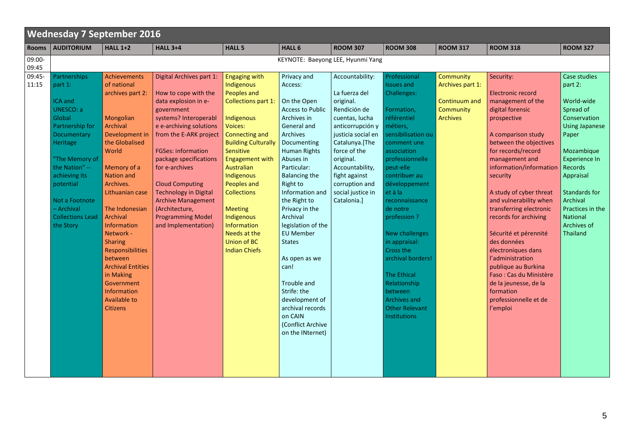|                 | <b>Wednesday 7 September 2016</b>                                                                                                                                                                                                                 |                                                                                                                                                                                                                                                                                                                                                                                                                             |                                                                                                                                                                                                                                                                                                                                                                                                           |                                                                                                                                                                                                                                                                                                                                                                                      |                                                                                                                                                                                                                                                                                                                                                                                                                                                                                               |                                                                                                                                                                                                                                                                    |                                                                                                                                                                                                                                                                                                                                                                                                                                                                |                                                                                       |                                                                                                                                                                                                                                                                                                                                                                                                                                                                                                                                                     |                                                                                                                                                                                                                                                                   |  |  |
|-----------------|---------------------------------------------------------------------------------------------------------------------------------------------------------------------------------------------------------------------------------------------------|-----------------------------------------------------------------------------------------------------------------------------------------------------------------------------------------------------------------------------------------------------------------------------------------------------------------------------------------------------------------------------------------------------------------------------|-----------------------------------------------------------------------------------------------------------------------------------------------------------------------------------------------------------------------------------------------------------------------------------------------------------------------------------------------------------------------------------------------------------|--------------------------------------------------------------------------------------------------------------------------------------------------------------------------------------------------------------------------------------------------------------------------------------------------------------------------------------------------------------------------------------|-----------------------------------------------------------------------------------------------------------------------------------------------------------------------------------------------------------------------------------------------------------------------------------------------------------------------------------------------------------------------------------------------------------------------------------------------------------------------------------------------|--------------------------------------------------------------------------------------------------------------------------------------------------------------------------------------------------------------------------------------------------------------------|----------------------------------------------------------------------------------------------------------------------------------------------------------------------------------------------------------------------------------------------------------------------------------------------------------------------------------------------------------------------------------------------------------------------------------------------------------------|---------------------------------------------------------------------------------------|-----------------------------------------------------------------------------------------------------------------------------------------------------------------------------------------------------------------------------------------------------------------------------------------------------------------------------------------------------------------------------------------------------------------------------------------------------------------------------------------------------------------------------------------------------|-------------------------------------------------------------------------------------------------------------------------------------------------------------------------------------------------------------------------------------------------------------------|--|--|
| <b>Rooms</b>    | <b>AUDITORIUM</b>                                                                                                                                                                                                                                 | <b>HALL 1+2</b>                                                                                                                                                                                                                                                                                                                                                                                                             | <b>HALL 3+4</b>                                                                                                                                                                                                                                                                                                                                                                                           | <b>HALL 5</b>                                                                                                                                                                                                                                                                                                                                                                        | <b>HALL 6</b>                                                                                                                                                                                                                                                                                                                                                                                                                                                                                 | <b>ROOM 307</b>                                                                                                                                                                                                                                                    | <b>ROOM 308</b>                                                                                                                                                                                                                                                                                                                                                                                                                                                | <b>ROOM 317</b>                                                                       | <b>ROOM 318</b>                                                                                                                                                                                                                                                                                                                                                                                                                                                                                                                                     | <b>ROOM 327</b>                                                                                                                                                                                                                                                   |  |  |
| 09:00-<br>09:45 |                                                                                                                                                                                                                                                   |                                                                                                                                                                                                                                                                                                                                                                                                                             |                                                                                                                                                                                                                                                                                                                                                                                                           |                                                                                                                                                                                                                                                                                                                                                                                      | KEYNOTE: Baeyong LEE, Hyunmi Yang                                                                                                                                                                                                                                                                                                                                                                                                                                                             |                                                                                                                                                                                                                                                                    |                                                                                                                                                                                                                                                                                                                                                                                                                                                                |                                                                                       |                                                                                                                                                                                                                                                                                                                                                                                                                                                                                                                                                     |                                                                                                                                                                                                                                                                   |  |  |
| 09:45-<br>11:15 | Partnerships<br>part 1:<br>ICA and<br>UNESCO: a<br>Global<br>Partnership for<br>Documentary<br>Heritage<br>"The Memory of<br>the Nation" --<br>achieving its<br>potential<br>Not a Footnote<br>- Archival<br><b>Collections Lead</b><br>the Story | Achievements<br>of national<br>archives part 2:<br>Mongolian<br><b>Archival</b><br>Development in<br>the Globalised<br>World<br>Memory of a<br><b>Nation and</b><br>Archives.<br>Lithuanian case<br>The Indonesian<br>Archival<br><b>Information</b><br>Network -<br><b>Sharing</b><br>Responsibilities<br>between<br><b>Archival Entities</b><br>in Making<br>Government<br>Information<br>Available to<br><b>Citizens</b> | Digital Archives part 1:<br>How to cope with the<br>data explosion in e-<br>government<br>systems? Interoperabl<br>e e-archiving solutions<br>from the E-ARK project<br><b>FGSes: information</b><br>package specifications<br>for e-archives<br><b>Cloud Computing</b><br><b>Technology in Digital</b><br><b>Archive Management</b><br>(Architecture,<br><b>Programming Model</b><br>and Implementation) | <b>Engaging with</b><br>Indigenous<br><b>Peoples and</b><br><b>Collections part 1:</b><br>Indigenous<br><b>Voices:</b><br>Connecting and<br><b>Building Culturally</b><br>Sensitive<br>Engagement with<br>Australian<br>Indigenous<br>Peoples and<br><b>Collections</b><br><b>Meeting</b><br>Indigenous<br>Information<br>Needs at the<br><b>Union of BC</b><br><b>Indian Chiefs</b> | Privacy and<br>Access:<br>On the Open<br><b>Access to Public</b><br>Archives in<br>General and<br>Archives<br>Documenting<br><b>Human Rights</b><br>Abuses in<br>Particular:<br><b>Balancing the</b><br>Right to<br>Information and<br>the Right to<br>Privacy in the<br>Archival<br>legislation of the<br><b>EU Member</b><br><b>States</b><br>As open as we<br>can!<br>Trouble and<br>Strife: the<br>development of<br>archival records<br>on CAIN<br>(Conflict Archive<br>on the INternet) | Accountability:<br>La fuerza del<br>original.<br>Rendición de<br>cuentas, lucha<br>anticorrupción y<br>justicia social en<br>Catalunya.[The<br>force of the<br>original.<br>Accountability,<br>fight against<br>corruption and<br>social justice in<br>Catalonia.] | Professional<br><b>Issues and</b><br>Challenges:<br>Formation,<br>référentiel<br>métiers,<br>sensibilisation ou<br>comment une<br>association<br>professionnelle<br>peut-elle<br>contribuer au<br>développement<br>et à la<br>reconnaissance<br>de notre<br>profession ?<br>New challenges<br>in appraisal:<br>Cross the<br>archival borders!<br><b>The Ethical</b><br>Relationship<br>between<br><b>Archives and</b><br><b>Other Relevant</b><br>Institutions | <b>Community</b><br>Archives part 1:<br>Continuum and<br>Community<br><b>Archives</b> | Security:<br><b>Electronic record</b><br>management of the<br>digital forensic<br>prospective<br>A comparison study<br>between the objectives<br>for records/record<br>management and<br>information/information<br>security<br>A study of cyber threat<br>and vulnerability when<br>transferring electronic<br>records for archiving<br>Sécurité et pérennité<br>des données<br>électroniques dans<br>l'administration<br>publique au Burkina<br>Faso: Cas du Ministère<br>de la jeunesse, de la<br>formation<br>professionnelle et de<br>l'emploi | Case studies<br>part 2:<br>World-wide<br>Spread of<br>Conservation<br><b>Using Japanese</b><br>Paper<br>Mozambique<br>Experience In<br>Records<br>Appraisal<br><b>Standards for</b><br>Archival<br>Practices in the<br><b>National</b><br>Archives of<br>Thailand |  |  |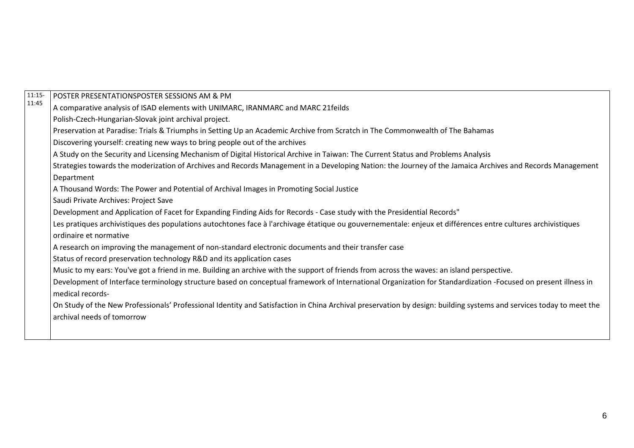| $11:15-$ | POSTER PRESENTATIONSPOSTER SESSIONS AM & PM                                                                                                                         |
|----------|---------------------------------------------------------------------------------------------------------------------------------------------------------------------|
| 11:45    | A comparative analysis of ISAD elements with UNIMARC, IRANMARC and MARC 21feilds                                                                                    |
|          | Polish-Czech-Hungarian-Slovak joint archival project.                                                                                                               |
|          | Preservation at Paradise: Trials & Triumphs in Setting Up an Academic Archive from Scratch in The Commonwealth of The Bahamas                                       |
|          | Discovering yourself: creating new ways to bring people out of the archives                                                                                         |
|          | A Study on the Security and Licensing Mechanism of Digital Historical Archive in Taiwan: The Current Status and Problems Analysis                                   |
|          | Strategies towards the moderization of Archives and Records Management in a Developing Nation: the Journey of the Jamaica Archives and Records Management           |
|          | Department                                                                                                                                                          |
|          | A Thousand Words: The Power and Potential of Archival Images in Promoting Social Justice                                                                            |
|          | Saudi Private Archives: Project Save                                                                                                                                |
|          | Development and Application of Facet for Expanding Finding Aids for Records - Case study with the Presidential Records"                                             |
|          | Les pratiques archivistiques des populations autochtones face à l'archivage étatique ou gouvernementale: enjeux et différences entre cultures archivistiques        |
|          | ordinaire et normative                                                                                                                                              |
|          | A research on improving the management of non-standard electronic documents and their transfer case                                                                 |
|          | Status of record preservation technology R&D and its application cases                                                                                              |
|          | Music to my ears: You've got a friend in me. Building an archive with the support of friends from across the waves: an island perspective.                          |
|          | Development of Interface terminology structure based on conceptual framework of International Organization for Standardization -Focused on present illness in       |
|          | medical records-                                                                                                                                                    |
|          | On Study of the New Professionals' Professional Identity and Satisfaction in China Archival preservation by design: building systems and services today to meet the |
|          | archival needs of tomorrow                                                                                                                                          |
|          |                                                                                                                                                                     |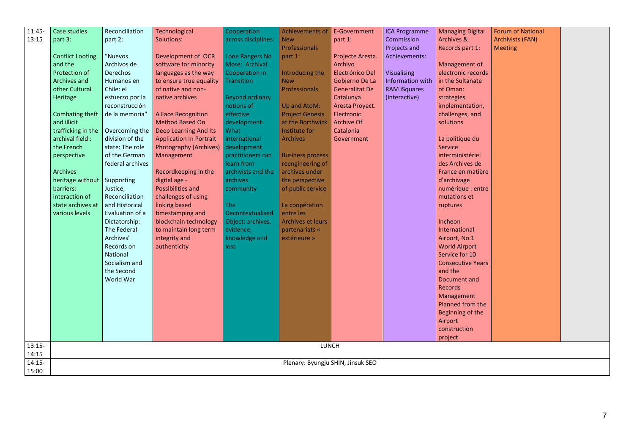| 11:45-   | Case studies                      | Reconciliation   | Technological                  | Cooperation            | Achievements of E-Government |                       | <b>ICA Programme</b> | <b>Managing Digital</b>  | <b>Forum of National</b> |  |  |  |
|----------|-----------------------------------|------------------|--------------------------------|------------------------|------------------------------|-----------------------|----------------------|--------------------------|--------------------------|--|--|--|
| 13:15    | part 3:                           | part 2:          | Solutions:                     | across disciplines:    | <b>New</b>                   | part 1:               | Commission           | Archives &               | <b>Archivists (FAN)</b>  |  |  |  |
|          |                                   |                  |                                |                        | Professionals                |                       | Projects and         | Records part 1:          | <b>Meeting</b>           |  |  |  |
|          | <b>Conflict Looting</b>           | "Nuevos          | Development of OCR             | Lone Rangers No        | part 1:                      | Projecte Aresta.      | Achievements:        |                          |                          |  |  |  |
|          | and the                           | Archivos de      | software for minority          | More: Archival         |                              | Archivo               |                      | Management of            |                          |  |  |  |
|          | Protection of                     | Derechos         | languages as the way           | Cooperation in         | Introducing the              | Electrónico Del       | Visualising          | electronic records       |                          |  |  |  |
|          | Archives and                      | Humanos en       | to ensure true equality        | <b>Transition</b>      | <b>New</b>                   | Gobierno De La        | Information with     | in the Sultanate         |                          |  |  |  |
|          | other Cultural                    | Chile: el        | of native and non-             |                        | Professionals                | <b>Generalitat De</b> | <b>RAM iSquares</b>  | of Oman:                 |                          |  |  |  |
|          | Heritage                          | esfuerzo por la  | native archives                | <b>Beyond ordinary</b> |                              | Catalunya             | (interactive)        | strategies               |                          |  |  |  |
|          |                                   | reconstrucción   |                                | notions of             | Up and AtoM:                 | Aresta Proyect.       |                      | implementation,          |                          |  |  |  |
|          | Combating theft                   | de la memoria"   | A Face Recognition             | effective              | <b>Project Genesis</b>       | Electronic            |                      | challenges, and          |                          |  |  |  |
|          | and illicit                       |                  | <b>Method Based On</b>         | development:           | at the Borthwick             | <b>Archive Of</b>     |                      | solutions                |                          |  |  |  |
|          | trafficking in the                | Overcoming the   | Deep Learning And Its          | What                   | Institute for                | Catalonia             |                      |                          |                          |  |  |  |
|          | archival field :                  | division of the  | <b>Application In Portrait</b> | international          | <b>Archives</b>              | Government            |                      | La politique du          |                          |  |  |  |
|          | the French                        | state: The role  | <b>Photography (Archives)</b>  | development            |                              |                       |                      | Service                  |                          |  |  |  |
|          | perspective                       | of the German    | Management                     | practitioners can      | <b>Business process</b>      |                       |                      | interministériel         |                          |  |  |  |
|          |                                   | federal archives |                                | learn from             | reengineering of             |                       |                      | des Archives de          |                          |  |  |  |
|          | <b>Archives</b>                   |                  | Recordkeeping in the           | archivists and the     | archives under               |                       |                      | France en matière        |                          |  |  |  |
|          | heritage without                  | Supporting       | digital age -                  | archives               | the perspective              |                       |                      | d'archivage              |                          |  |  |  |
|          | barriers:                         | Justice,         | Possibilities and              | community              | of public service            |                       |                      | numérique : entre        |                          |  |  |  |
|          | interaction of                    | Reconciliation   | challenges of using            |                        |                              |                       |                      | mutations et             |                          |  |  |  |
|          | state archives at                 | and Historical   | linking based                  | <b>The</b>             | La coopération               |                       |                      | ruptures                 |                          |  |  |  |
|          | various levels                    | Evaluation of a  | timestamping and               | Decontextualised       | entre les                    |                       |                      |                          |                          |  |  |  |
|          |                                   | Dictatorship:    | blockchain technology          | Object: archives,      | Archives et leurs            |                       |                      | Incheon                  |                          |  |  |  |
|          |                                   | The Federal      | to maintain long term          | evidence,              | partenariats «               |                       |                      | International            |                          |  |  |  |
|          |                                   | Archives'        | integrity and                  | knowledge and          | extérieure »                 |                       |                      | Airport, No.1            |                          |  |  |  |
|          |                                   | Records on       | authenticity                   | loss                   |                              |                       |                      | <b>World Airport</b>     |                          |  |  |  |
|          |                                   | National         |                                |                        |                              |                       |                      | Service for 10           |                          |  |  |  |
|          |                                   | Socialism and    |                                |                        |                              |                       |                      | <b>Consecutive Years</b> |                          |  |  |  |
|          |                                   | the Second       |                                |                        |                              |                       |                      | and the                  |                          |  |  |  |
|          |                                   | World War        |                                |                        |                              |                       |                      | Document and             |                          |  |  |  |
|          |                                   |                  |                                |                        |                              |                       |                      | <b>Records</b>           |                          |  |  |  |
|          |                                   |                  |                                |                        |                              |                       |                      | Management               |                          |  |  |  |
|          |                                   |                  |                                |                        |                              |                       |                      | Planned from the         |                          |  |  |  |
|          |                                   |                  |                                |                        |                              |                       |                      | Beginning of the         |                          |  |  |  |
|          |                                   |                  |                                |                        |                              |                       |                      | Airport                  |                          |  |  |  |
|          |                                   |                  |                                |                        |                              |                       |                      | construction             |                          |  |  |  |
|          |                                   |                  |                                |                        |                              |                       |                      | project                  |                          |  |  |  |
| $13:15-$ |                                   |                  |                                |                        | LUNCH                        |                       |                      |                          |                          |  |  |  |
| 14:15    |                                   |                  |                                |                        |                              |                       |                      |                          |                          |  |  |  |
| $14:15-$ | Plenary: Byungju SHIN, Jinsuk SEO |                  |                                |                        |                              |                       |                      |                          |                          |  |  |  |
| 15:00    |                                   |                  |                                |                        |                              |                       |                      |                          |                          |  |  |  |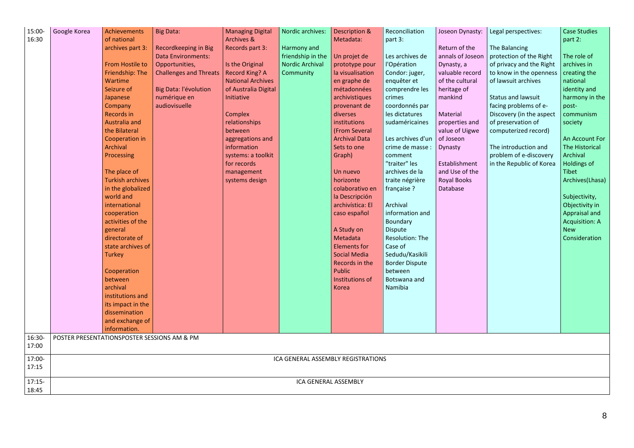| 15:00-<br>16:30 | Google Korea         | Achievements<br>of national<br>archives part 3:<br><b>From Hostile to</b><br>Friendship: The<br><b>Wartime</b><br>Seizure of<br>Japanese<br>Company<br><b>Records in</b><br>Australia and<br>the Bilateral<br>Cooperation in<br>Archival<br><b>Processing</b><br>The place of<br><b>Turkish archives</b><br>in the globalized<br>world and<br>international<br>cooperation<br>activities of the<br>general<br>directorate of<br>state archives of<br><b>Turkey</b><br>Cooperation<br>between<br>archival<br>institutions and<br>its impact in the<br>dissemination<br>and exchange of | Big Data:<br>Recordkeeping in Big<br><b>Data Environments:</b><br>Opportunities,<br><b>Challenges and Threats</b><br>Big Data: l'évolution<br>numérique en<br>audiovisuelle | <b>Managing Digital</b><br>Archives &<br>Records part 3:<br>Is the Original<br><b>Record King? A</b><br><b>National Archives</b><br>of Australia Digital<br>Initiative<br>Complex<br>relationships<br>between<br>aggregations and<br>information<br>systems: a toolkit<br>for records<br>management<br>systems design | Nordic archives:<br>Harmony and<br>friendship in the<br>Nordic Archival<br>Community | Description &<br>Metadata:<br>Un projet de<br>prototype pour<br>la visualisation<br>en graphe de<br>métadonnées<br>archivistiques<br>provenant de<br>diverses<br>institutions<br>(From Several<br><b>Archival Data</b><br>Sets to one<br>Graph)<br>Un nuevo<br>horizonte<br>colaborativo en<br>la Descripción<br>archivística: El<br>caso español<br>A Study on<br>Metadata<br><b>Elements for</b><br><b>Social Media</b><br>Records in the<br>Public<br>Institutions of<br><b>Korea</b> | Reconciliation<br>part 3:<br>Les archives de<br>l'Opération<br>Condor: juger,<br>enquêter et<br>comprendre les<br>crimes<br>coordonnés par<br>les dictatures<br>sudaméricaines<br>Les archives d'un<br>crime de masse :<br>comment<br>"traiter" les<br>archives de la<br>traite négrière<br>française ?<br>Archival<br>information and<br>Boundary<br><b>Dispute</b><br>Resolution: The<br>Case of<br>Sedudu/Kasikili<br><b>Border Dispute</b><br>between<br>Botswana and<br>Namibia | Joseon Dynasty:<br>Return of the<br>annals of Joseon<br>Dynasty, a<br>valuable record<br>of the cultural<br>heritage of<br>mankind<br><b>Material</b><br>properties and<br>value of Uigwe<br>of Joseon<br>Dynasty<br>Establishment<br>and Use of the<br><b>Royal Books</b><br>Database | Legal perspectives:<br>The Balancing<br>protection of the Right<br>of privacy and the Right<br>to know in the openness<br>of lawsuit archives<br><b>Status and lawsuit</b><br>facing problems of e-<br>Discovery (in the aspect<br>of preservation of<br>computerized record)<br>The introduction and<br>problem of e-discovery<br>in the Republic of Korea | <b>Case Studies</b><br>part 2:<br>The role of<br>archives in<br>creating the<br>national<br>identity and<br>harmony in the<br>post-<br>communism<br>society<br>An Account For<br>The Historical<br>Archival<br>Holdings of<br><b>Tibet</b><br>Archives(Lhasa)<br>Subjectivity,<br>Objectivity in<br>Appraisal and<br><b>Acquisition: A</b><br><b>New</b><br>Consideration |
|-----------------|----------------------|---------------------------------------------------------------------------------------------------------------------------------------------------------------------------------------------------------------------------------------------------------------------------------------------------------------------------------------------------------------------------------------------------------------------------------------------------------------------------------------------------------------------------------------------------------------------------------------|-----------------------------------------------------------------------------------------------------------------------------------------------------------------------------|-----------------------------------------------------------------------------------------------------------------------------------------------------------------------------------------------------------------------------------------------------------------------------------------------------------------------|--------------------------------------------------------------------------------------|------------------------------------------------------------------------------------------------------------------------------------------------------------------------------------------------------------------------------------------------------------------------------------------------------------------------------------------------------------------------------------------------------------------------------------------------------------------------------------------|--------------------------------------------------------------------------------------------------------------------------------------------------------------------------------------------------------------------------------------------------------------------------------------------------------------------------------------------------------------------------------------------------------------------------------------------------------------------------------------|----------------------------------------------------------------------------------------------------------------------------------------------------------------------------------------------------------------------------------------------------------------------------------------|-------------------------------------------------------------------------------------------------------------------------------------------------------------------------------------------------------------------------------------------------------------------------------------------------------------------------------------------------------------|---------------------------------------------------------------------------------------------------------------------------------------------------------------------------------------------------------------------------------------------------------------------------------------------------------------------------------------------------------------------------|
|                 |                      | information.                                                                                                                                                                                                                                                                                                                                                                                                                                                                                                                                                                          |                                                                                                                                                                             |                                                                                                                                                                                                                                                                                                                       |                                                                                      |                                                                                                                                                                                                                                                                                                                                                                                                                                                                                          |                                                                                                                                                                                                                                                                                                                                                                                                                                                                                      |                                                                                                                                                                                                                                                                                        |                                                                                                                                                                                                                                                                                                                                                             |                                                                                                                                                                                                                                                                                                                                                                           |
| 16:30-          |                      | POSTER PRESENTATIONSPOSTER SESSIONS AM & PM                                                                                                                                                                                                                                                                                                                                                                                                                                                                                                                                           |                                                                                                                                                                             |                                                                                                                                                                                                                                                                                                                       |                                                                                      |                                                                                                                                                                                                                                                                                                                                                                                                                                                                                          |                                                                                                                                                                                                                                                                                                                                                                                                                                                                                      |                                                                                                                                                                                                                                                                                        |                                                                                                                                                                                                                                                                                                                                                             |                                                                                                                                                                                                                                                                                                                                                                           |
| 17:00           |                      |                                                                                                                                                                                                                                                                                                                                                                                                                                                                                                                                                                                       |                                                                                                                                                                             |                                                                                                                                                                                                                                                                                                                       |                                                                                      |                                                                                                                                                                                                                                                                                                                                                                                                                                                                                          |                                                                                                                                                                                                                                                                                                                                                                                                                                                                                      |                                                                                                                                                                                                                                                                                        |                                                                                                                                                                                                                                                                                                                                                             |                                                                                                                                                                                                                                                                                                                                                                           |
| 17:00-<br>17:15 |                      |                                                                                                                                                                                                                                                                                                                                                                                                                                                                                                                                                                                       |                                                                                                                                                                             |                                                                                                                                                                                                                                                                                                                       |                                                                                      | ICA GENERAL ASSEMBLY REGISTRATIONS                                                                                                                                                                                                                                                                                                                                                                                                                                                       |                                                                                                                                                                                                                                                                                                                                                                                                                                                                                      |                                                                                                                                                                                                                                                                                        |                                                                                                                                                                                                                                                                                                                                                             |                                                                                                                                                                                                                                                                                                                                                                           |
| 17:15-<br>18:45 | ICA GENERAL ASSEMBLY |                                                                                                                                                                                                                                                                                                                                                                                                                                                                                                                                                                                       |                                                                                                                                                                             |                                                                                                                                                                                                                                                                                                                       |                                                                                      |                                                                                                                                                                                                                                                                                                                                                                                                                                                                                          |                                                                                                                                                                                                                                                                                                                                                                                                                                                                                      |                                                                                                                                                                                                                                                                                        |                                                                                                                                                                                                                                                                                                                                                             |                                                                                                                                                                                                                                                                                                                                                                           |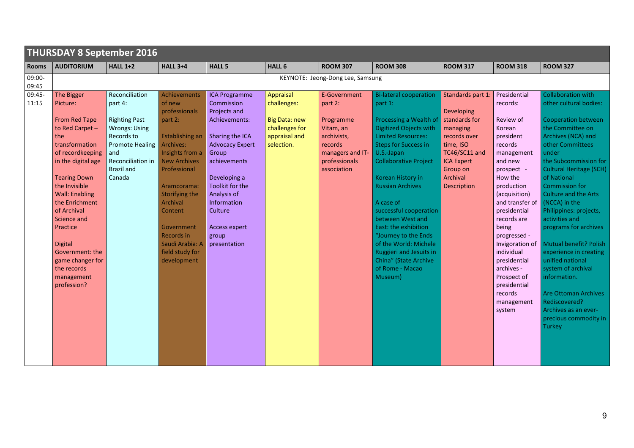|                 | <b>THURSDAY 8 September 2016</b>                                                                                                                                                                                                                                                                                                                                      |                                                                                                                                                                              |                                                                                                                                                                                                                                                                                              |                                                                                                                                                                                                                                                                 |                                                                                                   |                                                                                                                                 |                                                                                                                                                                                                                                                                                                                                                                                                                                                                                            |                                                                                                                                                                        |                                                                                                                                                                                                                                                                                                                                                                                      |                                                                                                                                                                                                                                                                                                                                                                                                                                                                                                                                                                            |  |  |
|-----------------|-----------------------------------------------------------------------------------------------------------------------------------------------------------------------------------------------------------------------------------------------------------------------------------------------------------------------------------------------------------------------|------------------------------------------------------------------------------------------------------------------------------------------------------------------------------|----------------------------------------------------------------------------------------------------------------------------------------------------------------------------------------------------------------------------------------------------------------------------------------------|-----------------------------------------------------------------------------------------------------------------------------------------------------------------------------------------------------------------------------------------------------------------|---------------------------------------------------------------------------------------------------|---------------------------------------------------------------------------------------------------------------------------------|--------------------------------------------------------------------------------------------------------------------------------------------------------------------------------------------------------------------------------------------------------------------------------------------------------------------------------------------------------------------------------------------------------------------------------------------------------------------------------------------|------------------------------------------------------------------------------------------------------------------------------------------------------------------------|--------------------------------------------------------------------------------------------------------------------------------------------------------------------------------------------------------------------------------------------------------------------------------------------------------------------------------------------------------------------------------------|----------------------------------------------------------------------------------------------------------------------------------------------------------------------------------------------------------------------------------------------------------------------------------------------------------------------------------------------------------------------------------------------------------------------------------------------------------------------------------------------------------------------------------------------------------------------------|--|--|
| <b>Rooms</b>    | <b>AUDITORIUM</b>                                                                                                                                                                                                                                                                                                                                                     | <b>HALL 1+2</b>                                                                                                                                                              | <b>HALL 3+4</b>                                                                                                                                                                                                                                                                              | <b>HALL 5</b>                                                                                                                                                                                                                                                   | <b>HALL 6</b>                                                                                     | <b>ROOM 307</b>                                                                                                                 | <b>ROOM 308</b>                                                                                                                                                                                                                                                                                                                                                                                                                                                                            | <b>ROOM 317</b>                                                                                                                                                        | <b>ROOM 318</b>                                                                                                                                                                                                                                                                                                                                                                      | <b>ROOM 327</b>                                                                                                                                                                                                                                                                                                                                                                                                                                                                                                                                                            |  |  |
| 09:00-<br>09:45 |                                                                                                                                                                                                                                                                                                                                                                       |                                                                                                                                                                              |                                                                                                                                                                                                                                                                                              |                                                                                                                                                                                                                                                                 |                                                                                                   | KEYNOTE: Jeong-Dong Lee, Samsung                                                                                                |                                                                                                                                                                                                                                                                                                                                                                                                                                                                                            |                                                                                                                                                                        |                                                                                                                                                                                                                                                                                                                                                                                      |                                                                                                                                                                                                                                                                                                                                                                                                                                                                                                                                                                            |  |  |
| 09:45-<br>11:15 | The Bigger<br>Picture:<br><b>From Red Tape</b><br>to Red Carpet-<br>the<br>transformation<br>of recordkeeping<br>in the digital age<br><b>Tearing Down</b><br>the Invisible<br><b>Wall: Enabling</b><br>the Enrichment<br>of Archival<br>Science and<br>Practice<br><b>Digital</b><br>Government: the<br>game changer for<br>the records<br>management<br>profession? | Reconciliation<br>part 4:<br><b>Righting Past</b><br><b>Wrongs: Using</b><br>Records to<br><b>Promote Healing</b><br>and<br>Reconciliation in<br><b>Brazil and</b><br>Canada | Achievements<br>of new<br>professionals<br>part 2:<br>Establishing an<br>Archives:<br>Insights from a<br><b>New Archives</b><br>Professional<br>Aramcorama:<br>Storifying the<br>Archival<br><b>Content</b><br>Government<br>Records in<br>Saudi Arabia: A<br>field study for<br>development | <b>ICA Programme</b><br>Commission<br>Projects and<br>Achievements:<br>Sharing the ICA<br><b>Advocacy Expert</b><br>Group<br>achievements<br>Developing a<br>Toolkit for the<br>Analysis of<br>Information<br>Culture<br>Access expert<br>group<br>presentation | Appraisal<br>challenges:<br><b>Big Data: new</b><br>challenges for<br>appraisal and<br>selection. | E-Government<br>part 2:<br>Programme<br>Vitam, an<br>archivists,<br>records<br>managers and IT-<br>professionals<br>association | <b>Bi-lateral cooperation</b><br>part 1:<br>Processing a Wealth of<br><b>Digitized Objects with</b><br><b>Limited Resources:</b><br><b>Steps for Success in</b><br>U.S.-Japan<br><b>Collaborative Project</b><br>Korean History in<br><b>Russian Archives</b><br>A case of<br>successful cooperation<br>between West and<br>East: the exhibition<br>"Journey to the Ends<br>of the World: Michele<br><b>Ruggieri and Jesuits in</b><br>China" (State Archive<br>of Rome - Macao<br>Museum) | Standards part 1:<br>Developing<br>standards for<br>managing<br>records over<br>time, ISO<br>TC46/SC11 and<br><b>ICA Expert</b><br>Group on<br>Archival<br>Description | Presidential<br>records:<br>Review of<br>Korean<br>president<br>records<br>management<br>and new<br>prospect -<br>How the<br>production<br>(acquisition)<br>and transfer of $(NCCA)$ in the<br>presidential<br>records are<br>being<br>progressed -<br>Invigoration of<br>individual<br>presidential<br>archives -<br>Prospect of<br>presidential<br>records<br>management<br>system | <b>Collaboration with</b><br>other cultural bodies:<br>Cooperation between<br>the Committee on<br>Archives (NCA) and<br>other Committees<br>under<br>the Subcommission for<br><b>Cultural Heritage (SCH)</b><br>of National<br><b>Commission for</b><br><b>Culture and the Arts</b><br>Philippines: projects,<br>activities and<br>programs for archives<br>Mutual benefit? Polish<br>experience in creating<br>unified national<br>system of archival<br>information.<br>Are Ottoman Archives<br>Rediscovered?<br>Archives as an ever-<br>precious commodity in<br>Turkey |  |  |
|                 |                                                                                                                                                                                                                                                                                                                                                                       |                                                                                                                                                                              |                                                                                                                                                                                                                                                                                              |                                                                                                                                                                                                                                                                 |                                                                                                   |                                                                                                                                 |                                                                                                                                                                                                                                                                                                                                                                                                                                                                                            |                                                                                                                                                                        |                                                                                                                                                                                                                                                                                                                                                                                      |                                                                                                                                                                                                                                                                                                                                                                                                                                                                                                                                                                            |  |  |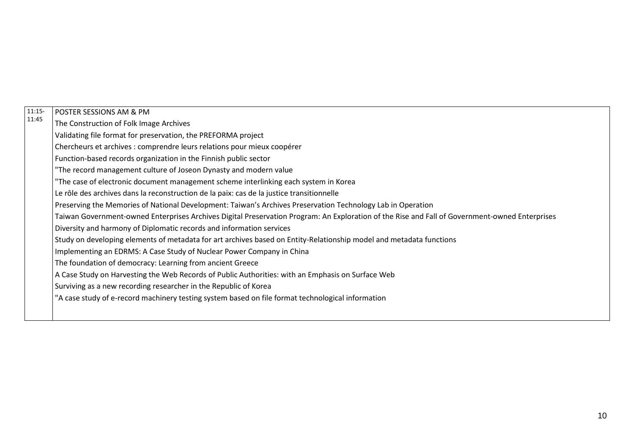| $11:15-$ | POSTER SESSIONS AM & PM                                                                                                                        |
|----------|------------------------------------------------------------------------------------------------------------------------------------------------|
| 11:45    | The Construction of Folk Image Archives                                                                                                        |
|          | Validating file format for preservation, the PREFORMA project                                                                                  |
|          | Chercheurs et archives : comprendre leurs relations pour mieux coopérer                                                                        |
|          | Function-based records organization in the Finnish public sector                                                                               |
|          | "The record management culture of Joseon Dynasty and modern value                                                                              |
|          | "The case of electronic document management scheme interlinking each system in Korea                                                           |
|          | Le rôle des archives dans la reconstruction de la paix: cas de la justice transitionnelle                                                      |
|          | Preserving the Memories of National Development: Taiwan's Archives Preservation Technology Lab in Operation                                    |
|          | Taiwan Government-owned Enterprises Archives Digital Preservation Program: An Exploration of the Rise and Fall of Government-owned Enterprises |
|          | Diversity and harmony of Diplomatic records and information services                                                                           |
|          | Study on developing elements of metadata for art archives based on Entity-Relationship model and metadata functions                            |
|          | Implementing an EDRMS: A Case Study of Nuclear Power Company in China                                                                          |
|          | The foundation of democracy: Learning from ancient Greece                                                                                      |
|          | A Case Study on Harvesting the Web Records of Public Authorities: with an Emphasis on Surface Web                                              |
|          | Surviving as a new recording researcher in the Republic of Korea                                                                               |
|          | "A case study of e-record machinery testing system based on file format technological information                                              |
|          |                                                                                                                                                |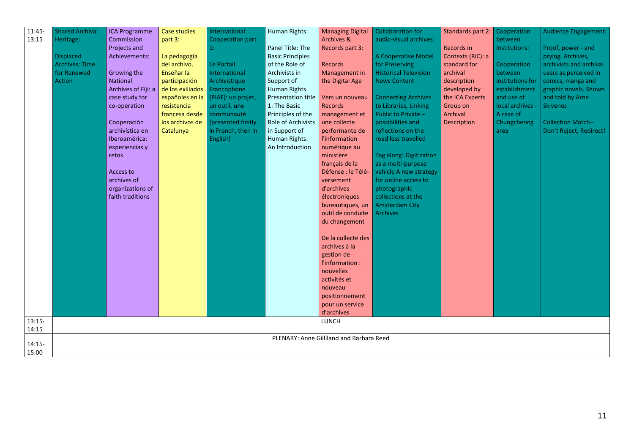| 11:45-<br>13:15   | <b>Shared Archival</b><br>Heritage:<br><b>Displaced</b><br><b>Archives: Time</b><br>for Renewed<br><b>Action</b> | <b>ICA Programme</b><br>Commission<br>Projects and<br>Achievements:<br>Growing the<br><b>National</b><br>Archives of Fiji: a<br>case study for<br>co-operation<br>Cooperación<br>archivística en<br>Iberoamérica:<br>experiencias y<br>retos<br>Access to<br>archives of<br>organizations of<br>faith traditions | <b>Case studies</b><br>part 3:<br>La pedagogía<br>del archivo.<br>Enseñar la<br>participación<br>de los exiliados<br>españoles en la<br>resistencia<br>francesa desde<br>los archivos de<br>Catalunya | International<br>Cooperation part<br>1:<br>Le Portail<br>International<br>Archivistique<br>Francophone<br>(PIAF): un projet,<br>un outil, une<br>communauté<br>(presented firstly<br>in French, then in<br>English) | Human Rights:<br>Panel Title: The<br><b>Basic Principles</b><br>of the Role of<br>Archivists in<br>Support of<br><b>Human Rights</b><br>Presentation title<br>1: The Basic<br>Principles of the<br>Role of Archivists<br>in Support of<br>Human Rights:<br>An Introduction | <b>Managing Digital</b><br><b>Archives &amp;</b><br>Records part 3:<br><b>Records</b><br>Management in<br>the Digital Age<br>Vers un nouveau<br><b>Records</b><br>management et<br>une collecte<br>performante de<br><b>l'information</b><br>numérique au<br>ministère<br>français de la<br>Défense : le Télé-<br>versement<br>d'archives<br>électroniques<br>bureautiques, un<br>outil de conduite<br>du changement<br>De la collecte des<br>archives à la<br>gestion de<br>l'information :<br>nouvelles<br>activités et | Collaboration for<br>audio-visual archives:<br>A Cooperative Model<br>for Preserving<br><b>Historical Television</b><br><b>News Content</b><br><b>Connecting Archives</b><br>to Libraries, Linking<br>Public to Private -<br>possibilities and<br>reflections on the<br>road less travelled<br><b>Tag along! Digitization</b><br>as a multi-purpose<br>vehicle A new strategy<br>for online access to<br>photographic<br>collections at the<br><b>Amsterdam City</b><br><b>Archives</b> | Standards part 2:<br><b>Records in</b><br>Contexts (RiC): a<br>standard for<br>archival<br>description<br>developed by<br>the ICA Experts<br>Group on<br>Archival<br><b>Description</b> | <b>Cooperation</b><br>between<br>Institutions:<br>Cooperation<br>between<br>institutions for<br>establishment<br>and use of<br>local archives -<br>A case of<br>Chungcheong<br>area | <b>Audience Engagement:</b><br>Proof, power - and<br>prying. Archives,<br>archivists and archival<br>users as perceived in<br>comics, manga and<br>graphic novels. Shown<br>and told by Arne<br><b>Skivenes</b><br><b>Collection Match--</b><br>Don't Reject, Redirect! |
|-------------------|------------------------------------------------------------------------------------------------------------------|------------------------------------------------------------------------------------------------------------------------------------------------------------------------------------------------------------------------------------------------------------------------------------------------------------------|-------------------------------------------------------------------------------------------------------------------------------------------------------------------------------------------------------|---------------------------------------------------------------------------------------------------------------------------------------------------------------------------------------------------------------------|----------------------------------------------------------------------------------------------------------------------------------------------------------------------------------------------------------------------------------------------------------------------------|---------------------------------------------------------------------------------------------------------------------------------------------------------------------------------------------------------------------------------------------------------------------------------------------------------------------------------------------------------------------------------------------------------------------------------------------------------------------------------------------------------------------------|-----------------------------------------------------------------------------------------------------------------------------------------------------------------------------------------------------------------------------------------------------------------------------------------------------------------------------------------------------------------------------------------------------------------------------------------------------------------------------------------|-----------------------------------------------------------------------------------------------------------------------------------------------------------------------------------------|-------------------------------------------------------------------------------------------------------------------------------------------------------------------------------------|-------------------------------------------------------------------------------------------------------------------------------------------------------------------------------------------------------------------------------------------------------------------------|
|                   |                                                                                                                  |                                                                                                                                                                                                                                                                                                                  |                                                                                                                                                                                                       |                                                                                                                                                                                                                     |                                                                                                                                                                                                                                                                            | nouveau<br>positionnement<br>pour un service                                                                                                                                                                                                                                                                                                                                                                                                                                                                              |                                                                                                                                                                                                                                                                                                                                                                                                                                                                                         |                                                                                                                                                                                         |                                                                                                                                                                                     |                                                                                                                                                                                                                                                                         |
| $13:15-$          |                                                                                                                  |                                                                                                                                                                                                                                                                                                                  |                                                                                                                                                                                                       |                                                                                                                                                                                                                     |                                                                                                                                                                                                                                                                            | d'archives<br><b>LUNCH</b>                                                                                                                                                                                                                                                                                                                                                                                                                                                                                                |                                                                                                                                                                                                                                                                                                                                                                                                                                                                                         |                                                                                                                                                                                         |                                                                                                                                                                                     |                                                                                                                                                                                                                                                                         |
| 14:15             |                                                                                                                  |                                                                                                                                                                                                                                                                                                                  |                                                                                                                                                                                                       |                                                                                                                                                                                                                     |                                                                                                                                                                                                                                                                            |                                                                                                                                                                                                                                                                                                                                                                                                                                                                                                                           |                                                                                                                                                                                                                                                                                                                                                                                                                                                                                         |                                                                                                                                                                                         |                                                                                                                                                                                     |                                                                                                                                                                                                                                                                         |
| $14:15-$<br>15:00 | PLENARY: Anne Gilliland and Barbara Reed                                                                         |                                                                                                                                                                                                                                                                                                                  |                                                                                                                                                                                                       |                                                                                                                                                                                                                     |                                                                                                                                                                                                                                                                            |                                                                                                                                                                                                                                                                                                                                                                                                                                                                                                                           |                                                                                                                                                                                                                                                                                                                                                                                                                                                                                         |                                                                                                                                                                                         |                                                                                                                                                                                     |                                                                                                                                                                                                                                                                         |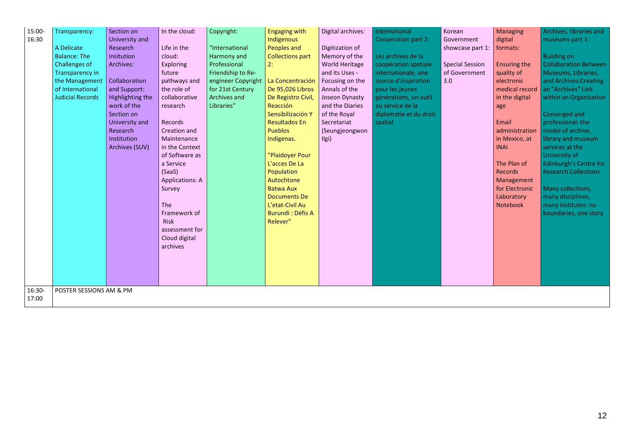| 15:00-<br>16:30 | Transparency:<br>A Delicate<br><b>Balance: The</b><br>Challenges of<br>Transparency in<br>the Management<br>of International<br><b>Judicial Records</b> | Section on<br>University and<br>Research<br>Insitution<br>Archives:<br>Collaboration<br>and Support:<br>Highlighting the<br>work of the<br>Section on<br>University and<br>Research<br>Institution<br>Archives (SUV) | In the cloud:<br>Life in the<br>cloud:<br>Exploring<br>future<br>pathways and<br>the role of<br>collaborative<br>research<br>Records<br>Creation and<br>Maintenance<br>in the Context<br>of Software as<br>a Service<br>(SaaS)<br><b>Applications: A</b><br>Survey<br><b>The</b><br>Framework of<br><b>Risk</b><br>assessment for<br>Cloud digital<br>archives | Copyright:<br>"International<br>Harmony and<br>Professional<br>Friendship to Re-<br>engineer Copyright<br>for 21st Century<br>Archives and<br>Libraries" | <b>Engaging with</b><br>Indigenous<br>Peoples and<br><b>Collections part</b><br>2:<br>La Concentración<br>De 95,026 Libros<br>De Registro Civil,<br>Reacción<br>Sensibilización Y<br><b>Resultados En</b><br><b>Pueblos</b><br>Indígenas.<br>"Plaidoyer Pour<br>L'acces De La<br>Population<br>Autochtone<br><b>Batwa Aux</b><br><b>Documents De</b><br>L'etat-Civil Au<br><b>Burundi : Défis A</b><br>Relever" | Digital archives:<br>Digitization of<br>Memory of the<br><b>World Heritage</b><br>and its Uses -<br>Focusing on the<br>Annals of the<br>Joseon Dynasty<br>and the Diaries<br>of the Royal<br>Secretariat<br>(Seungjeongwon<br>Ilgi) | International<br>Cooperation part 2:<br>Les archives de la<br>coopération spatiale<br>internationale, une<br>source d'inspiration<br>pour les jeunes<br>générations, un outil<br>au service de la<br>diplomatie et du droit<br>spatial | Korean<br>Government<br>showcase part 1:<br><b>Special Session</b><br>of Government<br>3.0 | Managing<br>digital<br>formats:<br><b>Ensuring the</b><br>quality of<br>electronic<br>medical record<br>in the digital<br>age<br>Email<br>administration<br>in Mexico, at<br><b>INAI</b><br>The Plan of<br><b>Records</b><br>Management<br>for Electronic<br>Laboratory<br>Notebook | Archives, libraries and<br>museums part 1:<br><b>Building on</b><br><b>Collaboration Between</b><br>Museums, Libraries,<br>and Archives: Creating<br>an "Archives" Link<br>within an Organization<br>Converged and<br>professional: the<br>model of archive,<br>library and museum<br>services at the<br>University of<br><b>Edinburgh's Centre for</b><br><b>Research Collections</b><br>Many collections,<br>many disciplines,<br>many institutes: no<br>boundaries, one story |  |
|-----------------|---------------------------------------------------------------------------------------------------------------------------------------------------------|----------------------------------------------------------------------------------------------------------------------------------------------------------------------------------------------------------------------|----------------------------------------------------------------------------------------------------------------------------------------------------------------------------------------------------------------------------------------------------------------------------------------------------------------------------------------------------------------|----------------------------------------------------------------------------------------------------------------------------------------------------------|-----------------------------------------------------------------------------------------------------------------------------------------------------------------------------------------------------------------------------------------------------------------------------------------------------------------------------------------------------------------------------------------------------------------|-------------------------------------------------------------------------------------------------------------------------------------------------------------------------------------------------------------------------------------|----------------------------------------------------------------------------------------------------------------------------------------------------------------------------------------------------------------------------------------|--------------------------------------------------------------------------------------------|-------------------------------------------------------------------------------------------------------------------------------------------------------------------------------------------------------------------------------------------------------------------------------------|----------------------------------------------------------------------------------------------------------------------------------------------------------------------------------------------------------------------------------------------------------------------------------------------------------------------------------------------------------------------------------------------------------------------------------------------------------------------------------|--|
| 16:30-          | POSTER SESSIONS AM & PM                                                                                                                                 |                                                                                                                                                                                                                      |                                                                                                                                                                                                                                                                                                                                                                |                                                                                                                                                          |                                                                                                                                                                                                                                                                                                                                                                                                                 |                                                                                                                                                                                                                                     |                                                                                                                                                                                                                                        |                                                                                            |                                                                                                                                                                                                                                                                                     |                                                                                                                                                                                                                                                                                                                                                                                                                                                                                  |  |
| 17:00           |                                                                                                                                                         |                                                                                                                                                                                                                      |                                                                                                                                                                                                                                                                                                                                                                |                                                                                                                                                          |                                                                                                                                                                                                                                                                                                                                                                                                                 |                                                                                                                                                                                                                                     |                                                                                                                                                                                                                                        |                                                                                            |                                                                                                                                                                                                                                                                                     |                                                                                                                                                                                                                                                                                                                                                                                                                                                                                  |  |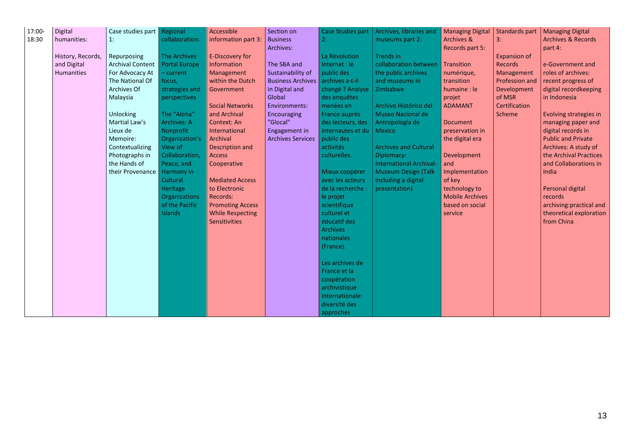| 17:00-<br>18:30 | Digital<br>humanities:           | Case studies part<br>1:                | Regional<br>collaboration:                  | Accessible<br>information part 3 | Section on<br><b>Business</b><br>Archives: | <b>Case Studies part</b><br>2:<br>La Révolution | Archives, libraries and<br>museums part 2:<br>Trends in | <b>Managing Digital</b><br><b>Archives &amp;</b><br>Records part 5: | Standards part<br>3:                  | <b>Managing Digital</b><br><b>Archives &amp; Records</b><br>part 4: |
|-----------------|----------------------------------|----------------------------------------|---------------------------------------------|----------------------------------|--------------------------------------------|-------------------------------------------------|---------------------------------------------------------|---------------------------------------------------------------------|---------------------------------------|---------------------------------------------------------------------|
|                 | History, Records,<br>and Digital | Repurposing<br><b>Archival Content</b> | <b>The Archives</b><br><b>Portal Europe</b> | E-Discovery for<br>Information   | The SBA and                                | Internet : le                                   | collaboration between   Transition                      |                                                                     | <b>Expansion of</b><br><b>Records</b> | e-Government and                                                    |
|                 | <b>Humanities</b>                | For Advocacy At                        | - current                                   | Management                       | Sustainability of                          | public des                                      | the public archives                                     | numérique,                                                          | Management                            | roles of archives:                                                  |
|                 |                                  | The National Of                        | focus,                                      | within the Dutch                 | Business Archives   archives a-t-il        |                                                 | and museums in                                          | transition                                                          | Profession and                        | recent progress of                                                  |
|                 |                                  | Archives Of                            | strategies and                              | Government                       | in Digital and                             | changé ? Analyse                                | Zimbabwe                                                | humaine : le                                                        | Development                           | digital recordkeeping                                               |
|                 |                                  | Malaysia                               | perspectives                                |                                  | Global                                     | des enquêtes                                    |                                                         | projet                                                              | of MSR                                | in Indonesia                                                        |
|                 |                                  |                                        |                                             | <b>Social Networks</b>           | Environments:                              | menées en                                       | Archivo Histórico del                                   | <b>ADAMANT</b>                                                      | Certification                         |                                                                     |
|                 |                                  | <b>Unlocking</b>                       | The "Aloha"                                 | and Archival                     | Encouraging                                | France auprès                                   | Museo Nacional de                                       |                                                                     | Scheme                                | Evolving strategies in                                              |
|                 |                                  | Martial Law's                          | <b>Archives: A</b>                          | Context: An                      | "Glocal"                                   | des lecteurs, des                               | Antropología de                                         | <b>Document</b>                                                     |                                       | managing paper and                                                  |
|                 |                                  | Lieux de                               | Nonprofit                                   | International                    | Engagement in                              | internautes et du                               | Mexico                                                  | preservation in                                                     |                                       | digital records in                                                  |
|                 |                                  | Memoire:                               | Organization's                              | Archival                         | <b>Archives Services</b>                   | public des                                      |                                                         | the digital era                                                     |                                       | <b>Public and Private</b>                                           |
|                 |                                  | Contextualizing                        | View of                                     | Description and                  |                                            | activités                                       | <b>Archives and Cultural</b>                            |                                                                     |                                       | Archives: A study of                                                |
|                 |                                  | Photographs in                         | Collaboration,                              | <b>Access</b>                    |                                            | culturelles.                                    | Diplomacy:                                              | Development                                                         |                                       | the Archival Practices                                              |
|                 |                                  | the Hands of                           | Peace, and                                  | Cooperative                      |                                            |                                                 | <b>International Archival-</b>                          | and                                                                 |                                       | and Collaborations in                                               |
|                 |                                  | their Provenance                       | Harmony in<br>Cultural                      | <b>Mediated Access</b>           |                                            | Mieux coopérer<br>avec les acteurs              | <b>Museum Design (Talk</b><br>including a digital       | Implementation<br>of key                                            |                                       | India                                                               |
|                 |                                  |                                        | Heritage                                    | to Electronic                    |                                            | de la recherche :                               | presentation)                                           | technology to                                                       |                                       | Personal digital                                                    |
|                 |                                  |                                        | Organizations                               | Records:                         |                                            | le projet                                       |                                                         | <b>Mobile Archives</b>                                              |                                       | records                                                             |
|                 |                                  |                                        | of the Pacific                              | <b>Promoting Access</b>          |                                            | scientifique                                    |                                                         | based on social                                                     |                                       | archiving: practical and                                            |
|                 |                                  |                                        | <b>Islands</b>                              | <b>While Respecting</b>          |                                            | culturel et                                     |                                                         | service                                                             |                                       | theoretical exploration                                             |
|                 |                                  |                                        |                                             | <b>Sensitivities</b>             |                                            | éducatif des                                    |                                                         |                                                                     |                                       | from China                                                          |
|                 |                                  |                                        |                                             |                                  |                                            | <b>Archives</b>                                 |                                                         |                                                                     |                                       |                                                                     |
|                 |                                  |                                        |                                             |                                  |                                            | <b>nationales</b>                               |                                                         |                                                                     |                                       |                                                                     |
|                 |                                  |                                        |                                             |                                  |                                            | (France).                                       |                                                         |                                                                     |                                       |                                                                     |
|                 |                                  |                                        |                                             |                                  |                                            | Les archives de                                 |                                                         |                                                                     |                                       |                                                                     |
|                 |                                  |                                        |                                             |                                  |                                            | France et la                                    |                                                         |                                                                     |                                       |                                                                     |
|                 |                                  |                                        |                                             |                                  |                                            | coopération                                     |                                                         |                                                                     |                                       |                                                                     |
|                 |                                  |                                        |                                             |                                  |                                            | archivistique                                   |                                                         |                                                                     |                                       |                                                                     |
|                 |                                  |                                        |                                             |                                  |                                            | internationale:                                 |                                                         |                                                                     |                                       |                                                                     |
|                 |                                  |                                        |                                             |                                  |                                            | diversité des                                   |                                                         |                                                                     |                                       |                                                                     |
|                 |                                  |                                        |                                             |                                  |                                            | approches                                       |                                                         |                                                                     |                                       |                                                                     |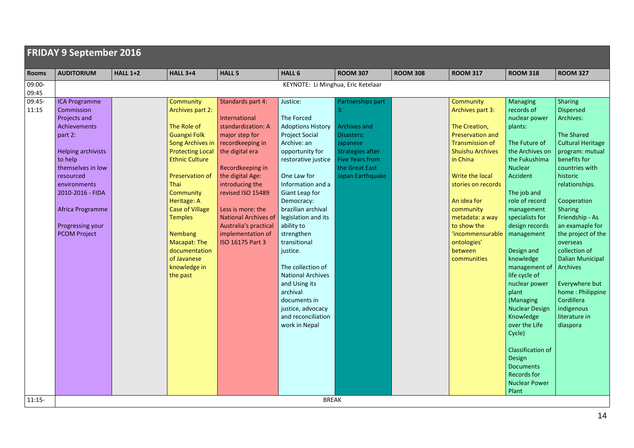| <b>FRIDAY 9 September 2016</b> |                                    |                 |                                    |                                      |                                                   |                                   |                 |                                          |                            |                           |  |
|--------------------------------|------------------------------------|-----------------|------------------------------------|--------------------------------------|---------------------------------------------------|-----------------------------------|-----------------|------------------------------------------|----------------------------|---------------------------|--|
| Rooms                          | <b>AUDITORIUM</b>                  | <b>HALL 1+2</b> | <b>HALL 3+4</b>                    | <b>HALL 5</b>                        | HALL 6                                            | <b>ROOM 307</b>                   | <b>ROOM 308</b> | <b>ROOM 317</b>                          | <b>ROOM 318</b>            | <b>ROOM 327</b>           |  |
| 09:00-                         | KEYNOTE: Li Minghua, Eric Ketelaar |                 |                                    |                                      |                                                   |                                   |                 |                                          |                            |                           |  |
| 09:45                          |                                    |                 |                                    |                                      |                                                   |                                   |                 |                                          |                            |                           |  |
| 09:45-                         | <b>ICA Programme</b>               |                 | Community                          | Standards part 4:                    | Justice:                                          | Partnerships part                 |                 | Community                                | <b>Managing</b>            | Sharing                   |  |
| 11:15                          | Commission                         |                 | Archives part 2:                   |                                      |                                                   | 3:                                |                 | Archives part 3:                         | records of                 | <b>Dispersed</b>          |  |
|                                | Projects and                       |                 |                                    | International                        | The Forced                                        |                                   |                 |                                          | nuclear power              | Archives:                 |  |
|                                | Achievements<br>part 2:            |                 | The Role of<br><b>Guangxi Folk</b> | standardization: A<br>major step for | <b>Adoptions History</b><br><b>Project Social</b> | <b>Archives and</b><br>Disasters: |                 | The Creation,<br><b>Preservation and</b> | plants:                    | <b>The Shared</b>         |  |
|                                |                                    |                 | <b>Song Archives in</b>            | recordkeeping in                     | Archive: an                                       | Japanese                          |                 | <b>Transmission of</b>                   | The Future of              | <b>Cultural Heritage</b>  |  |
|                                | <b>Helping archivists</b>          |                 | <b>Protecting Local</b>            | the digital era                      | opportunity for                                   | Strategies after                  |                 | <b>Shuishu Archives</b>                  | the Archives on            | program: mutual           |  |
|                                | to help                            |                 | <b>Ethnic Culture</b>              |                                      | restorative justice                               | <b>Five Years from</b>            |                 | in China                                 | the Fukushima              | benefits for              |  |
|                                | themselves in low                  |                 |                                    | Recordkeeping in                     |                                                   | the Great East                    |                 |                                          | Nuclear                    | countries with            |  |
|                                | resourced                          |                 | Preservation of                    | the digital Age:                     | One Law for                                       | Japan Earthquake                  |                 | Write the local                          | Accident                   | historic                  |  |
|                                | environments                       |                 | Thai                               | introducing the                      | Information and a                                 |                                   |                 | stories on records                       |                            | relationships.            |  |
|                                | 2010-2016 - FIDA                   |                 | Community                          | revised ISO 15489                    | Giant Leap for                                    |                                   |                 |                                          | The job and                |                           |  |
|                                |                                    |                 | Heritage: A                        |                                      | Democracy:                                        |                                   |                 | An idea for                              | role of record             | Cooperation               |  |
|                                | Africa Programme                   |                 | <b>Case of Village</b>             | Less is more: the                    | brazilian archival                                |                                   |                 | community                                | management                 | Sharing                   |  |
|                                |                                    |                 | <b>Temples</b>                     | <b>National Archives of</b>          | legislation and its                               |                                   |                 | metadata: a way                          | specialists for            | Friendship - As           |  |
|                                | Progressing your                   |                 |                                    | Australia's practical                | ability to                                        |                                   |                 | to show the                              | design records             | an examaple for           |  |
|                                | <b>PCOM Project</b>                |                 | <b>Nembang</b>                     | implementation of                    | strengthen                                        |                                   |                 | 'incommensurable                         | management                 | the project of the        |  |
|                                |                                    |                 | Macapat: The                       | ISO 16175 Part 3                     | transitional                                      |                                   |                 | ontologies'<br>between                   |                            | overseas<br>collection of |  |
|                                |                                    |                 | documentation<br>of Javanese       |                                      | justice.                                          |                                   |                 | communities                              | Design and<br>knowledge    | <b>Dalian Municipal</b>   |  |
|                                |                                    |                 | knowledge in                       |                                      | The collection of                                 |                                   |                 |                                          | management of              | Archives                  |  |
|                                |                                    |                 | the past                           |                                      | <b>National Archives</b>                          |                                   |                 |                                          | life cycle of              |                           |  |
|                                |                                    |                 |                                    |                                      | and Using its                                     |                                   |                 |                                          | nuclear power              | Everywhere but            |  |
|                                |                                    |                 |                                    |                                      | archival                                          |                                   |                 |                                          | plant                      | home: Philippine          |  |
|                                |                                    |                 |                                    |                                      | documents in                                      |                                   |                 |                                          | (Managing                  | Cordillera                |  |
|                                |                                    |                 |                                    |                                      | justice, advocacy                                 |                                   |                 |                                          | <b>Nuclear Design</b>      | indigenous                |  |
|                                |                                    |                 |                                    |                                      | and reconciliation                                |                                   |                 |                                          | Knowledge                  | literature in             |  |
|                                |                                    |                 |                                    |                                      | work in Nepal                                     |                                   |                 |                                          | over the Life              | diaspora                  |  |
|                                |                                    |                 |                                    |                                      |                                                   |                                   |                 |                                          | Cycle)                     |                           |  |
|                                |                                    |                 |                                    |                                      |                                                   |                                   |                 |                                          |                            |                           |  |
|                                |                                    |                 |                                    |                                      |                                                   |                                   |                 |                                          | <b>Classification of</b>   |                           |  |
|                                |                                    |                 |                                    |                                      |                                                   |                                   |                 |                                          | Design<br><b>Documents</b> |                           |  |
|                                |                                    |                 |                                    |                                      |                                                   |                                   |                 |                                          | <b>Records for</b>         |                           |  |
|                                |                                    |                 |                                    |                                      |                                                   |                                   |                 |                                          | <b>Nuclear Power</b>       |                           |  |
|                                |                                    |                 |                                    |                                      |                                                   |                                   |                 |                                          | Plant                      |                           |  |
| $11:15-$                       |                                    |                 |                                    |                                      | <b>BREAK</b>                                      |                                   |                 |                                          |                            |                           |  |